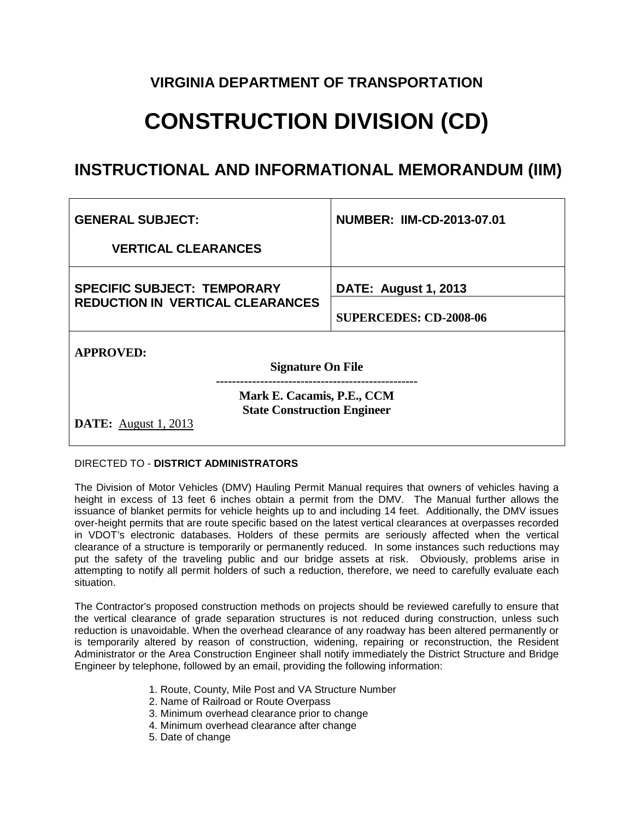### **VIRGINIA DEPARTMENT OF TRANSPORTATION**

# **CONSTRUCTION DIVISION (CD)**

## **INSTRUCTIONAL AND INFORMATIONAL MEMORANDUM (IIM)**

| <b>GENERAL SUBJECT:</b>                                          | <b>NUMBER: IIM-CD-2013-07.01</b> |
|------------------------------------------------------------------|----------------------------------|
| <b>VERTICAL CLEARANCES</b>                                       |                                  |
| <b>SPECIFIC SUBJECT: TEMPORARY</b>                               | <b>DATE: August 1, 2013</b>      |
| <b>REDUCTION IN VERTICAL CLEARANCES</b>                          | <b>SUPERCEDES: CD-2008-06</b>    |
| <b>APPROVED:</b>                                                 |                                  |
| <b>Signature On File</b>                                         |                                  |
| Mark E. Cacamis, P.E., CCM<br><b>State Construction Engineer</b> |                                  |
| <b>DATE:</b> August 1, 2013                                      |                                  |

#### DIRECTED TO - **DISTRICT ADMINISTRATORS**

The Division of Motor Vehicles (DMV) Hauling Permit Manual requires that owners of vehicles having a height in excess of 13 feet 6 inches obtain a permit from the DMV. The Manual further allows the issuance of blanket permits for vehicle heights up to and including 14 feet. Additionally, the DMV issues over-height permits that are route specific based on the latest vertical clearances at overpasses recorded in VDOT's electronic databases. Holders of these permits are seriously affected when the vertical clearance of a structure is temporarily or permanently reduced. In some instances such reductions may put the safety of the traveling public and our bridge assets at risk. Obviously, problems arise in attempting to notify all permit holders of such a reduction, therefore, we need to carefully evaluate each situation.

The Contractor's proposed construction methods on projects should be reviewed carefully to ensure that the vertical clearance of grade separation structures is not reduced during construction, unless such reduction is unavoidable. When the overhead clearance of any roadway has been altered permanently or is temporarily altered by reason of construction, widening, repairing or reconstruction, the Resident Administrator or the Area Construction Engineer shall notify immediately the District Structure and Bridge Engineer by telephone, followed by an email, providing the following information:

- 1. Route, County, Mile Post and VA Structure Number
- 2. Name of Railroad or Route Overpass
- 3. Minimum overhead clearance prior to change
- 4. Minimum overhead clearance after change
- 5. Date of change